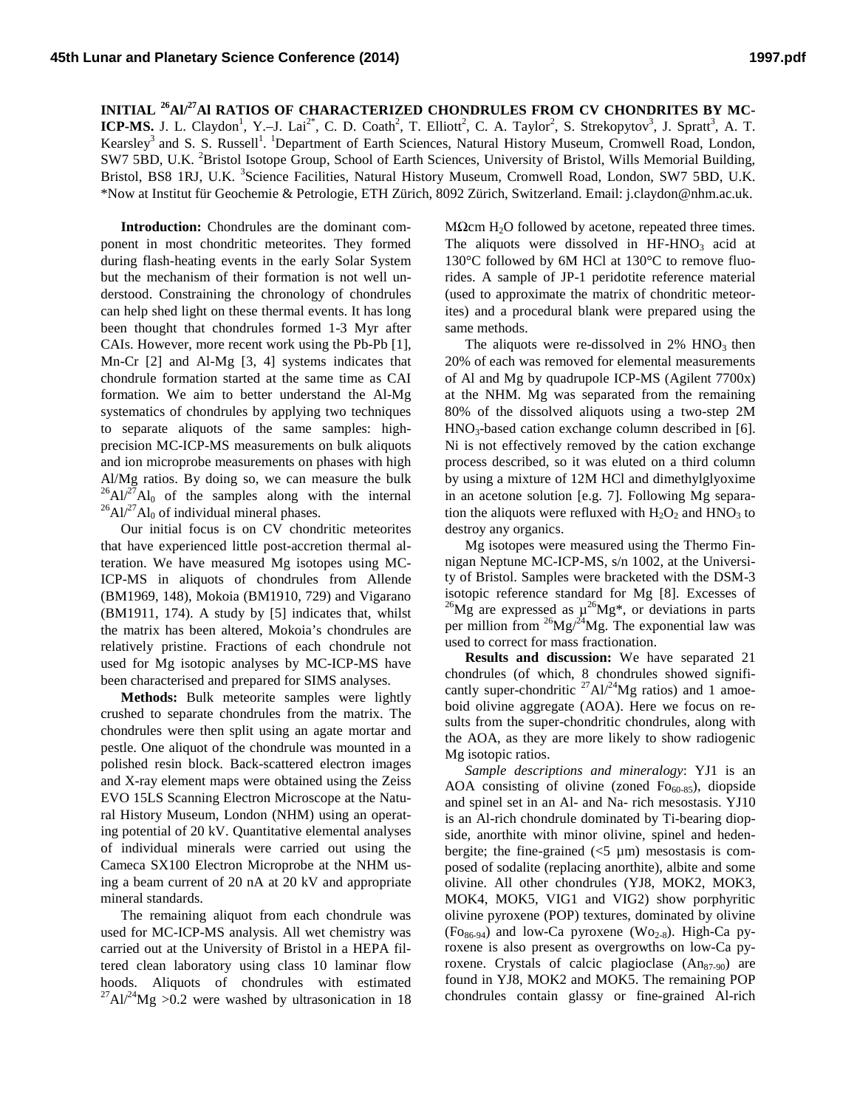**INITIAL 26Al/ 27Al RATIOS OF CHARACTERIZED CHONDRULES FROM CV CHONDRITES BY MC-**ICP-MS. J. L. Claydon<sup>1</sup>, Y.–J. Lai<sup>2\*</sup>, C. D. Coath<sup>2</sup>, T. Elliott<sup>2</sup>, C. A. Taylor<sup>2</sup>, S. Strekopytov<sup>3</sup>, J. Spratt<sup>3</sup>, A. T. Kearsley<sup>3</sup> and S. S. Russell<sup>1</sup>. <sup>1</sup>Department of Earth Sciences, Natural History Museum, Cromwell Road, London, SW7 5BD, U.K. <sup>2</sup>Bristol Isotope Group, School of Earth Sciences, University of Bristol, Wills Memorial Building, Bristol, BS8 1RJ, U.K. <sup>3</sup>Science Facilities, Natural History Museum, Cromwell Road, London, SW7 5BD, U.K. \*Now at Institut für Geochemie & Petrologie, ETH Zürich, 8092 Zürich, Switzerland. Email: j.claydon@nhm.ac.uk.

**Introduction:** Chondrules are the dominant component in most chondritic meteorites. They formed during flash-heating events in the early Solar System but the mechanism of their formation is not well understood. Constraining the chronology of chondrules can help shed light on these thermal events. It has long been thought that chondrules formed 1-3 Myr after CAIs. However, more recent work using the Pb-Pb [1], Mn-Cr [2] and Al-Mg [3, 4] systems indicates that chondrule formation started at the same time as CAI formation. We aim to better understand the Al-Mg systematics of chondrules by applying two techniques to separate aliquots of the same samples: highprecision MC-ICP-MS measurements on bulk aliquots and ion microprobe measurements on phases with high Al/Mg ratios. By doing so, we can measure the bulk  ${}^{26}Al^{27}Al_0$  of the samples along with the internal  ${}^{26}Al^{27}Al_0$  of individual mineral phases.

Our initial focus is on CV chondritic meteorites that have experienced little post-accretion thermal alteration. We have measured Mg isotopes using MC-ICP-MS in aliquots of chondrules from Allende (BM1969, 148), Mokoia (BM1910, 729) and Vigarano (BM1911, 174). A study by [5] indicates that, whilst the matrix has been altered, Mokoia's chondrules are relatively pristine. Fractions of each chondrule not used for Mg isotopic analyses by MC-ICP-MS have been characterised and prepared for SIMS analyses.

**Methods:** Bulk meteorite samples were lightly crushed to separate chondrules from the matrix. The chondrules were then split using an agate mortar and pestle. One aliquot of the chondrule was mounted in a polished resin block. Back-scattered electron images and X-ray element maps were obtained using the Zeiss EVO 15LS Scanning Electron Microscope at the Natural History Museum, London (NHM) using an operating potential of 20 kV. Quantitative elemental analyses of individual minerals were carried out using the Cameca SX100 Electron Microprobe at the NHM using a beam current of 20 nA at 20 kV and appropriate mineral standards.

The remaining aliquot from each chondrule was used for MC-ICP-MS analysis. All wet chemistry was carried out at the University of Bristol in a HEPA filtered clean laboratory using class 10 laminar flow hoods. Aliquots of chondrules with estimated  $^{27}$ Al/<sup>24</sup>Mg >0.2 were washed by ultrasonication in 18

MΩcm H<sub>2</sub>O followed by acetone, repeated three times. The aliquots were dissolved in  $HF-HNO<sub>3</sub>$  acid at 130°C followed by 6M HCl at 130°C to remove fluorides. A sample of JP-1 peridotite reference material (used to approximate the matrix of chondritic meteorites) and a procedural blank were prepared using the same methods.

The aliquots were re-dissolved in  $2\%$  HNO<sub>3</sub> then 20% of each was removed for elemental measurements of Al and Mg by quadrupole ICP-MS (Agilent 7700x) at the NHM. Mg was separated from the remaining 80% of the dissolved aliquots using a two-step 2M  $HNO<sub>3</sub>$ -based cation exchange column described in [6]. Ni is not effectively removed by the cation exchange process described, so it was eluted on a third column by using a mixture of 12M HCl and dimethylglyoxime in an acetone solution [e.g. 7]. Following Mg separation the aliquots were refluxed with  $H_2O_2$  and  $HNO_3$  to destroy any organics.

Mg isotopes were measured using the Thermo Finnigan Neptune MC-ICP-MS, s/n 1002, at the University of Bristol. Samples were bracketed with the DSM-3 isotopic reference standard for Mg [8]. Excesses of  $^{26}$ Mg are expressed as  $\mu^{26}$ Mg\*, or deviations in parts per million from  $^{26}Mg/^{24}Mg$ . The exponential law was used to correct for mass fractionation.

**Results and discussion:** We have separated 21 chondrules (of which, 8 chondrules showed significantly super-chondritic  $27$ Al/ $24$ Mg ratios) and 1 amoeboid olivine aggregate (AOA). Here we focus on results from the super-chondritic chondrules, along with the AOA, as they are more likely to show radiogenic Mg isotopic ratios.

*Sample descriptions and mineralogy*: YJ1 is an AOA consisting of olivine (zoned  $F_{060-85}$ ), diopside and spinel set in an Al- and Na- rich mesostasis. YJ10 is an Al-rich chondrule dominated by Ti-bearing diopside, anorthite with minor olivine, spinel and hedenbergite; the fine-grained  $(<5 \mu m)$  mesostasis is composed of sodalite (replacing anorthite), albite and some olivine. All other chondrules (YJ8, MOK2, MOK3, MOK4, MOK5, VIG1 and VIG2) show porphyritic olivine pyroxene (POP) textures, dominated by olivine  $(Fo_{86-94})$  and low-Ca pyroxene  $(Wo_{2-8})$ . High-Ca pyroxene is also present as overgrowths on low-Ca pyroxene. Crystals of calcic plagioclase  $(An_{87-90})$  are found in YJ8, MOK2 and MOK5. The remaining POP chondrules contain glassy or fine-grained Al-rich